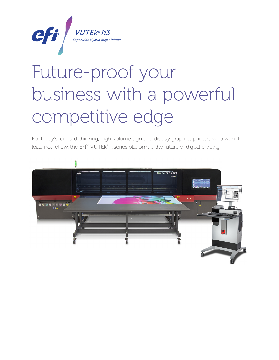

# Future-proof your business with a powerful competitive edge

For today's forward-thinking, high-volume sign and display graphics printers who want to lead, not follow, the EFI<sup>m</sup> VUTEk® h series platform is the future of digital printing.

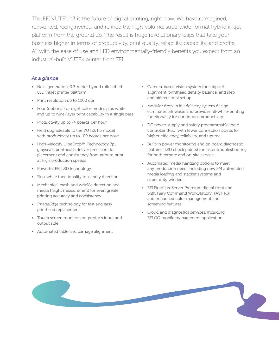The EFI VUTEk h3 is the future of digital printing, right now. We have reimagined, reinvented, reengineered, and refined the high-volume, superwide-format hybrid inkjet platform from the ground up. The result is huge revolutionary leaps that take your business higher in terms of productivity, print quality, reliability, capability, and profits. All with the ease of use and LED environmentally-friendly benefits you expect from an industrial-built VUTEk printer from EFI.

## *At a glance*

- Next-generation, 3.2-meter hybrid roll/flatbed LED inkjet printer platform
- Print resolution up to 1200 dpi
- Four (optional) or eight color modes plus white, and up to nine-layer print capability in a single pass
- Productivity up to 74 boards per hour
- Field upgradeable to the VUTEk h5 model with productivity up to 109 boards per hour
- High-velocity UltraDrop™ Technology 7pL grayscale printheads deliver precision dot placement and consistency from print to print at high production speeds
- Powerful EFI LED technology
- Skip-white functionality in x and y direction
- Mechanical crash and wrinkle detection and media height measurement for even greater printing accuracy and consistency
- ImageEdge technology for fast and easy printhead replacement
- Touch screen monitors on printer's input and output side
- Automated table and carriage alignment
- Camera-based vision system for subpixel alignment, printhead density balance, and step and bidirectional set up
- Modular drop-in ink delivery system design eliminates ink waste and provides fill-while-printing functionality for continuous productivity
- DC power supply and safety programmable logic controller (PLC) with fewer connection points for higher efficiency, reliability, and uptime
- Built-in power monitoring and on board diagnostic features (LED check points) for faster troubleshooting for both remote and on-site service
- Automated media handling options to meet any production need, including new 3/4 automated media loading and stacker systems and super duty winders
- EFI Fiery® proServer Premium digital front end with Fiery Command WorkStation® , FAST RIP and enhanced color management and screening features
- Cloud and diagnostics services, including EFI GO mobile management application

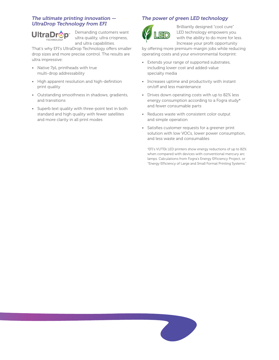## *The ultimate printing innovation — UltraDrop Technology from EFI*



Demanding customers want ultra quality, ultra crispness, and ultra capabilities.

That's why EFI's UltraDrop Technology offers smaller drop sizes and more precise control. The results are ultra impressive:

- Native 7pL printheads with true multi-drop addressability
- High apparent resolution and high-definition print quality
- Outstanding smoothness in shadows, gradients, and transitions
- Superb text quality with three-point text in both standard and high quality with fewer satellites and more clarity in all print modes

## *The power of green LED technology*



Brilliantly designed "cool cure" LED technology empowers you with the ability to do more for less. Increase your profit opportunity

by offering more premium-margin jobs while reducing operating costs and your environmental footprint:

- Extends your range of supported substrates, including lower cost and added-value specialty media
- Increases uptime and productivity with instant on/off and less maintenance
- Drives down operating costs with up to 82% less energy consumption according to a Fogra study\* and fewer consumable parts
- Reduces waste with consistent color output and simple operation
- Satisfies customer requests for a greener print solution with low VOCs, lower power consumption, and less waste and consumables

\* EFI's VUTEk LED printers show energy reductions of up to 82% when compared with devices with conventional mercury arc lamps. Calculations from Fogra's Energy Efficiency Project, or "Energy Efficiency of Large and Small Format Printing Systems."